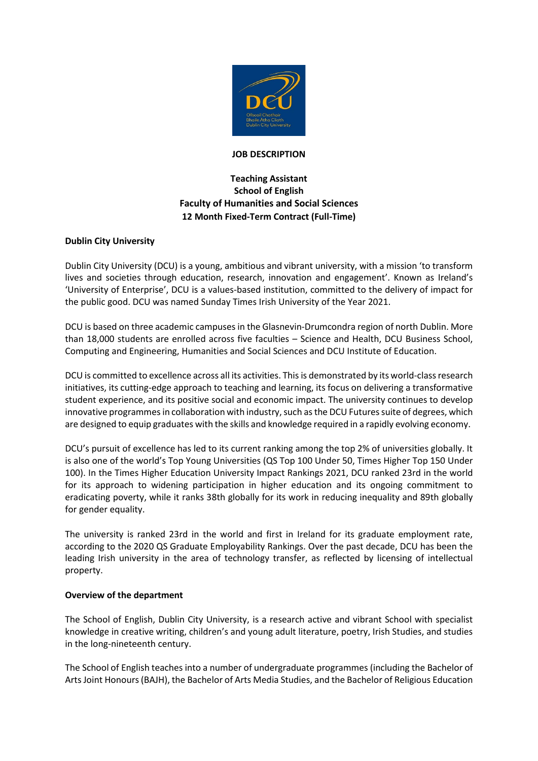

### **JOB DESCRIPTION**

# **Teaching Assistant School of English Faculty of Humanities and Social Sciences 12 Month Fixed-Term Contract (Full-Time)**

### **Dublin City University**

Dublin City University (DCU) is a young, ambitious and vibrant university, with a mission 'to transform lives and societies through education, research, innovation and engagement'. Known as Ireland's 'University of Enterprise', DCU is a values-based institution, committed to the delivery of impact for the public good. DCU was named Sunday Times Irish University of the Year 2021.

DCU is based on three academic campuses in the Glasnevin-Drumcondra region of north Dublin. More than 18,000 students are enrolled across five faculties – Science and Health, DCU Business School, Computing and Engineering, Humanities and Social Sciences and DCU Institute of Education.

DCU is committed to excellence across all its activities. This is demonstrated by its world-class research initiatives, its cutting-edge approach to teaching and learning, its focus on delivering a transformative student experience, and its positive social and economic impact. The university continues to develop innovative programmes in collaboration with industry, such as the DCU Futures suite of degrees, which are designed to equip graduates with the skills and knowledge required in a rapidly evolving economy.

DCU's pursuit of excellence has led to its current ranking among the top 2% of universities globally. It is also one of the world's Top Young Universities (QS Top 100 Under 50, Times Higher Top 150 Under 100). In the Times Higher Education University Impact Rankings 2021, DCU ranked 23rd in the world for its approach to widening participation in higher education and its ongoing commitment to eradicating poverty, while it ranks 38th globally for its work in reducing inequality and 89th globally for gender equality.

The university is ranked 23rd in the world and first in Ireland for its graduate employment rate, according to the 2020 QS Graduate Employability Rankings. Over the past decade, DCU has been the leading Irish university in the area of technology transfer, as reflected by licensing of intellectual property.

### **Overview of the department**

The School of English, Dublin City University, is a research active and vibrant School with specialist knowledge in creative writing, children's and young adult literature, poetry, Irish Studies, and studies in the long-nineteenth century.

The School of English teaches into a number of undergraduate programmes (including the Bachelor of Arts Joint Honours (BAJH), the Bachelor of Arts Media Studies, and the Bachelor of Religious Education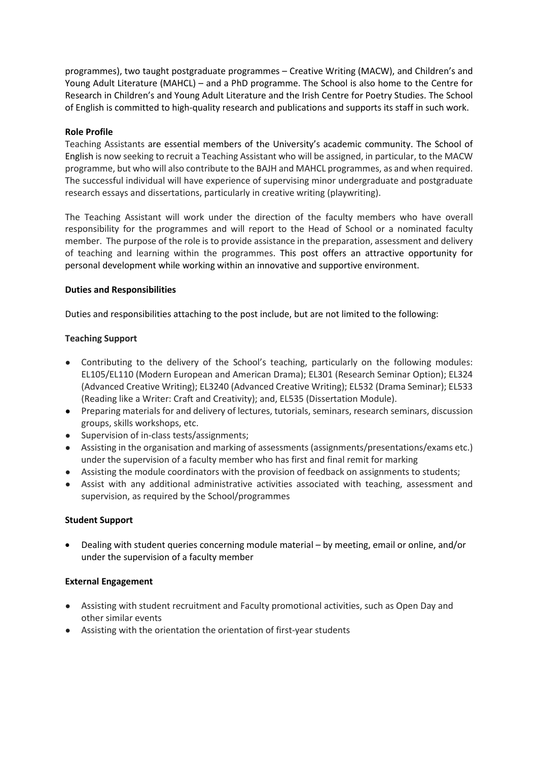programmes), two taught postgraduate programmes – Creative Writing (MACW), and Children's and Young Adult Literature (MAHCL) – and a PhD programme. The School is also home to the Centre for Research in Children's and Young Adult Literature and the Irish Centre for Poetry Studies. The School of English is committed to high-quality research and publications and supports its staff in such work.

### **Role Profile**

Teaching Assistants are essential members of the University's academic community. The School of English is now seeking to recruit a Teaching Assistant who will be assigned, in particular, to the MACW programme, but who will also contribute to the BAJH and MAHCL programmes, as and when required. The successful individual will have experience of supervising minor undergraduate and postgraduate research essays and dissertations, particularly in creative writing (playwriting).

The Teaching Assistant will work under the direction of the faculty members who have overall responsibility for the programmes and will report to the Head of School or a nominated faculty member. The purpose of the role is to provide assistance in the preparation, assessment and delivery of teaching and learning within the programmes. This post offers an attractive opportunity for personal development while working within an innovative and supportive environment.

### **Duties and Responsibilities**

Duties and responsibilities attaching to the post include, but are not limited to the following:

## **Teaching Support**

- Contributing to the delivery of the School's teaching, particularly on the following modules: EL105/EL110 (Modern European and American Drama); EL301 (Research Seminar Option); EL324 (Advanced Creative Writing); EL3240 (Advanced Creative Writing); EL532 (Drama Seminar); EL533 (Reading like a Writer: Craft and Creativity); and, EL535 (Dissertation Module).
- Preparing materials for and delivery of lectures, tutorials, seminars, research seminars, discussion groups, skills workshops, etc.
- Supervision of in-class tests/assignments;
- Assisting in the organisation and marking of assessments (assignments/presentations/exams etc.) under the supervision of a faculty member who has first and final remit for marking
- Assisting the module coordinators with the provision of feedback on assignments to students;
- Assist with any additional administrative activities associated with teaching, assessment and supervision, as required by the School/programmes

### **Student Support**

• Dealing with student queries concerning module material – by meeting, email or online, and/or under the supervision of a faculty member

### **External Engagement**

- Assisting with student recruitment and Faculty promotional activities, such as Open Day and other similar events
- Assisting with the orientation the orientation of first-year students